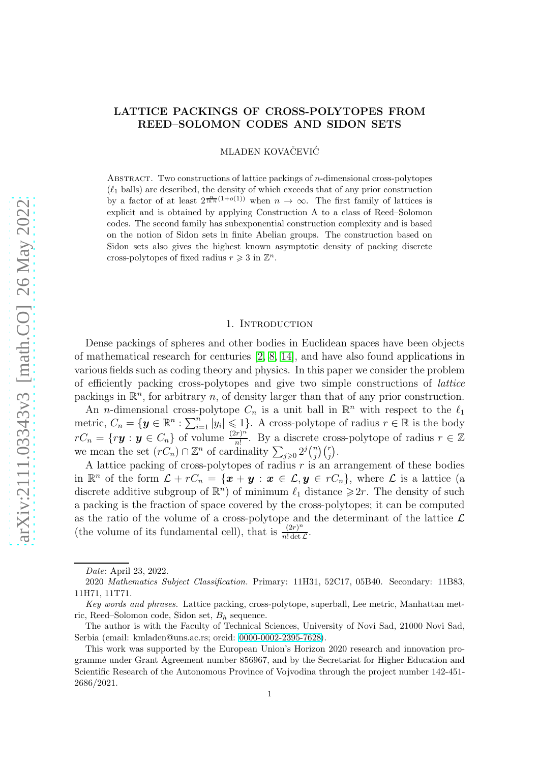## LATTICE PACKINGS OF CROSS-POLYTOPES FROM REED–SOLOMON CODES AND SIDON SETS

MLADEN KOVAČEVIĆ

Abstract. Two constructions of lattice packings of n-dimensional cross-polytopes  $(\ell_1$  balls) are described, the density of which exceeds that of any prior construction by a factor of at least  $2^{\frac{n}{\ln n}(1+o(1))}$  when  $n \to \infty$ . The first family of lattices is explicit and is obtained by applying Construction A to a class of Reed–Solomon codes. The second family has subexponential construction complexity and is based on the notion of Sidon sets in finite Abelian groups. The construction based on Sidon sets also gives the highest known asymptotic density of packing discrete cross-polytopes of fixed radius  $r \geqslant 3$  in  $\mathbb{Z}^n$ .

### 1. INTRODUCTION

Dense packings of spheres and other bodies in Euclidean spaces have been objects of mathematical research for centuries [\[2,](#page-6-0) [8,](#page-6-1) [14\]](#page-6-2), and have also found applications in various fields such as coding theory and physics. In this paper we consider the problem of efficiently packing cross-polytopes and give two simple constructions of lattice packings in  $\mathbb{R}^n$ , for arbitrary n, of density larger than that of any prior construction.

An *n*-dimensional cross-polytope  $C_n$  is a unit ball in  $\mathbb{R}^n$  with respect to the  $\ell_1$ metric,  $C_n = \{ \mathbf{y} \in \mathbb{R}^n : \sum_{i=1}^n |y_i| \leq 1 \}$ . A cross-polytope of radius  $r \in \mathbb{R}$  is the body  $rC_n = \{r\boldsymbol{y} : \boldsymbol{y} \in C_n\}$  of volume  $\frac{(2r)^n}{n!}$  $\frac{r}{n!}$ . By a discrete cross-polytope of radius  $r \in \mathbb{Z}$ we mean the set  $(rC_n) \cap \mathbb{Z}^n$  of cardinality  $\sum_{j\geqslant 0} 2^j {n \choose j}$  $\binom{n}{j}\binom{r}{j}.$ 

A lattice packing of cross-polytopes of radius  $r$  is an arrangement of these bodies in  $\mathbb{R}^n$  of the form  $\mathcal{L} + rC_n = \{x + y : x \in \mathcal{L}, y \in rC_n\}$ , where  $\mathcal{L}$  is a lattice (a discrete additive subgroup of  $\mathbb{R}^n$  of minimum  $\ell_1$  distance  $\geq 2r$ . The density of such a packing is the fraction of space covered by the cross-polytopes; it can be computed as the ratio of the volume of a cross-polytope and the determinant of the lattice  $\mathcal L$ (the volume of its fundamental cell), that is  $\frac{(2r)^n}{n! \det}$  $rac{(2r)^n}{n! \det \mathcal{L}}$ .

Date: April 23, 2022.

<sup>2020</sup> Mathematics Subject Classification. Primary: 11H31, 52C17, 05B40. Secondary: 11B83, 11H71, 11T71.

Key words and phrases. Lattice packing, cross-polytope, superball, Lee metric, Manhattan metric, Reed–Solomon code, Sidon set,  $B_h$  sequence.

The author is with the Faculty of Technical Sciences, University of Novi Sad, 21000 Novi Sad, Serbia (email: kmladen@uns.ac.rs; orcid: [0000-0002-2395-7628\)](https://orcid.org/0000-0002-2395-7628).

This work was supported by the European Union's Horizon 2020 research and innovation programme under Grant Agreement number 856967, and by the Secretariat for Higher Education and Scientific Research of the Autonomous Province of Vojvodina through the project number 142-451- 2686/2021.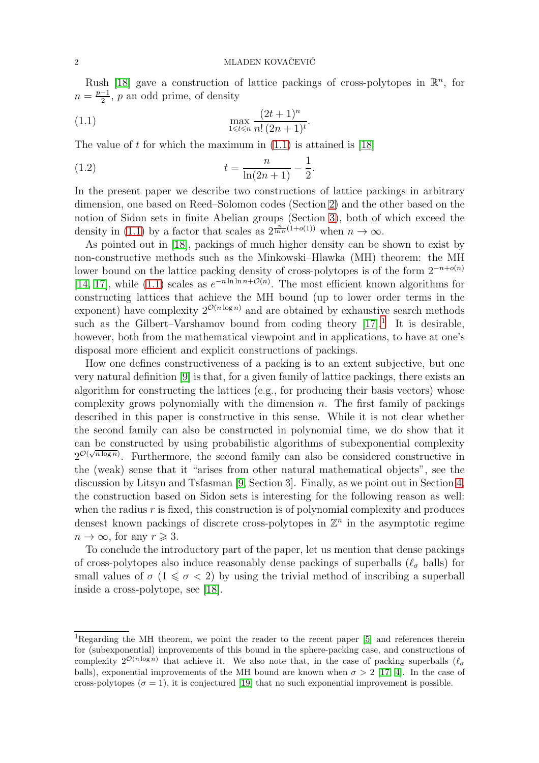Rush [\[18\]](#page-6-3) gave a construction of lattice packings of cross-polytopes in  $\mathbb{R}^n$ , for  $n = \frac{p-1}{2}$ , p an odd prime, of density

<span id="page-1-0"></span>(1.1) 
$$
\max_{1 \le t \le n} \frac{(2t+1)^n}{n! (2n+1)^t}.
$$

The value of t for which the maximum in  $(1.1)$  is attained is [\[18\]](#page-6-3)

<span id="page-1-1"></span>(1.2) 
$$
t = \frac{n}{\ln(2n+1)} - \frac{1}{2}.
$$

In the present paper we describe two constructions of lattice packings in arbitrary dimension, one based on Reed–Solomon codes (Section [2\)](#page-2-0) and the other based on the notion of Sidon sets in finite Abelian groups (Section [3\)](#page-3-0), both of which exceed the density in [\(1.1\)](#page-1-0) by a factor that scales as  $2^{\frac{n}{\ln n}(1+o(1))}$  when  $n \to \infty$ .

As pointed out in [\[18\]](#page-6-3), packings of much higher density can be shown to exist by non-constructive methods such as the Minkowski–Hlawka (MH) theorem: the MH lower bound on the lattice packing density of cross-polytopes is of the form  $2^{-n+o(n)}$ [\[14,](#page-6-2) [17\]](#page-6-4), while [\(1.1\)](#page-1-0) scales as  $e^{-n \ln \ln n + \mathcal{O}(n)}$ . The most efficient known algorithms for constructing lattices that achieve the MH bound (up to lower order terms in the exponent) have complexity  $2^{\mathcal{O}(n \log n)}$  and are obtained by exhaustive search methods such as the Gilbert–Varshamov bound from coding theory  $[17]$ <sup>1</sup>. It is desirable, however, both from the mathematical viewpoint and in applications, to have at one's disposal more efficient and explicit constructions of packings.

How one defines constructiveness of a packing is to an extent subjective, but one very natural definition [\[9\]](#page-6-5) is that, for a given family of lattice packings, there exists an algorithm for constructing the lattices (e.g., for producing their basis vectors) whose complexity grows polynomially with the dimension  $n$ . The first family of packings described in this paper is constructive in this sense. While it is not clear whether the second family can also be constructed in polynomial time, we do show that it can be constructed by using probabilistic algorithms of subexponential complexity  $2^{\mathcal{O}(\sqrt{n \log n})}$ . Furthermore, the second family can also be considered constructive in the (weak) sense that it "arises from other natural mathematical objects", see the discussion by Litsyn and Tsfasman [\[9,](#page-6-5) Section 3]. Finally, as we point out in Section [4,](#page-5-0) the construction based on Sidon sets is interesting for the following reason as well: when the radius  $r$  is fixed, this construction is of polynomial complexity and produces densest known packings of discrete cross-polytopes in  $\mathbb{Z}^n$  in the asymptotic regime  $n \to \infty$ , for any  $r \geq 3$ .

To conclude the introductory part of the paper, let us mention that dense packings of cross-polytopes also induce reasonably dense packings of superballs ( $\ell_{\sigma}$  balls) for small values of  $\sigma$  (1  $\leq \sigma$  < 2) by using the trivial method of inscribing a superball inside a cross-polytope, see [\[18\]](#page-6-3).

<sup>&</sup>lt;sup>1</sup>Regarding the MH theorem, we point the reader to the recent paper [\[5\]](#page-6-6) and references therein for (subexponential) improvements of this bound in the sphere-packing case, and constructions of complexity  $2^{\mathcal{O}(n \log n)}$  that achieve it. We also note that, in the case of packing superballs  $(\ell_{\sigma})$ balls), exponential improvements of the MH bound are known when  $\sigma > 2$  [\[17,](#page-6-4) [4\]](#page-6-7). In the case of cross-polytopes ( $\sigma = 1$ ), it is conjectured [\[19\]](#page-6-8) that no such exponential improvement is possible.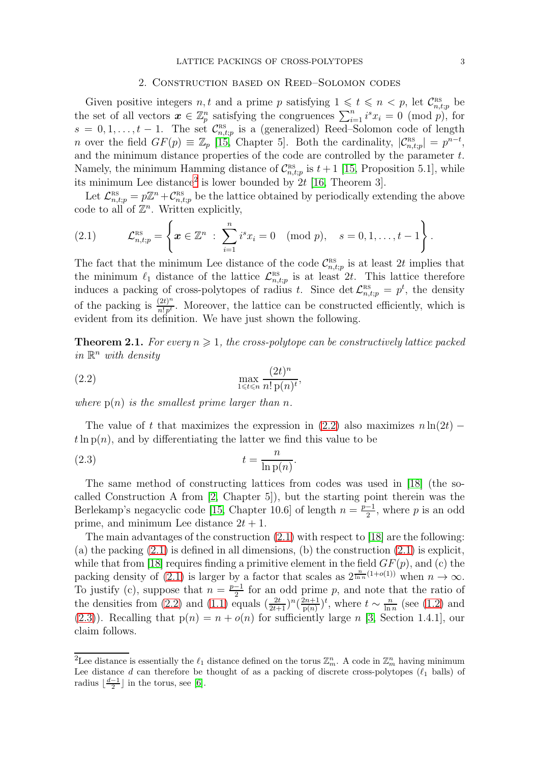#### 2. Construction based on Reed–Solomon codes

<span id="page-2-0"></span>Given positive integers n, t and a prime p satisfying  $1 \leq t \leq n < p$ , let  $\mathcal{C}_{n,t;p}^{\text{RS}}$  be the set of all vectors  $\boldsymbol{x} \in \mathbb{Z}_p^n$  satisfying the congruences  $\sum_{i=1}^n i^s x_i = 0 \pmod{p}$ , for  $s = 0, 1, \ldots, t-1$ . The set  $\mathcal{C}_{n,t}^{\text{RS}}$  $n_{n,t;p}^{\text{RS}}$  is a (generalized) Reed–Solomon code of length *n* over the field  $GF(p) \equiv \mathbb{Z}_p$  [\[15,](#page-6-9) Chapter 5]. Both the cardinality,  $|\mathcal{C}_{n,t;p}^{\text{ns}}| = p^{n-t}$ , and the minimum distance properties of the code are controlled by the parameter t. Namely, the minimum Hamming distance of  $\mathcal{C}_{n,t}^{\text{\tiny RS}}$  $\sum_{n,t;p}^{RS}$  is  $t+1$  [\[15,](#page-6-9) Proposition 5.1], while its minimum Lee distance<sup>2</sup> is lower bounded by  $2t$  [\[16,](#page-6-10) Theorem 3].

Let  $\mathcal{L}_{n,t;p}^{\text{RS}} = p\mathbb{Z}^n + \mathcal{C}_{n,t;p}^{\text{RS}}$  be the lattice obtained by periodically extending the above code to all of  $\mathbb{Z}^n$ . Written explicitly,

<span id="page-2-2"></span>(2.1) 
$$
\mathcal{L}_{n,t;p}^{\text{RS}} = \left\{ \boldsymbol{x} \in \mathbb{Z}^n \; : \; \sum_{i=1}^n i^s x_i = 0 \pmod{p}, \quad s = 0, 1, \ldots, t-1 \right\}.
$$

The fact that the minimum Lee distance of the code  $\mathcal{C}_{n,i}^{\text{BS}}$ <sup>RS</sup><sub>n,t;p</sub> is at least 2t implies that the minimum  $\ell_1$  distance of the lattice  $\mathcal{L}_{n,s}^{\text{RS}}$  $\sum_{n,t;p}^{\text{RS}}$  is at least 2t. This lattice therefore induces a packing of cross-polytopes of radius t. Since det  $\mathcal{L}_{n,t;p}^{\text{RS}} = p^t$ , the density of the packing is  $\frac{(2t)^n}{n!n!}$  $\frac{f(zt)^{n}}{n!p^{t}}$ . Moreover, the lattice can be constructed efficiently, which is evident from its definition. We have just shown the following.

<span id="page-2-4"></span>**Theorem 2.1.** For every  $n \geqslant 1$ , the cross-polytope can be constructively lattice packed in  $\mathbb{R}^n$  with density

<span id="page-2-1"></span>
$$
\max_{1 \le t \le n} \frac{(2t)^n}{n! \operatorname{p}(n)^t},
$$

where  $p(n)$  is the smallest prime larger than n.

The value of t that maximizes the expression in  $(2.2)$  also maximizes  $n \ln(2t)$  −  $t \ln p(n)$ , and by differentiating the latter we find this value to be

<span id="page-2-3"></span>
$$
(2.3) \t\t t = \frac{n}{\ln p(n)}.
$$

The same method of constructing lattices from codes was used in [\[18\]](#page-6-3) (the socalled Construction A from [\[2,](#page-6-0) Chapter 5]), but the starting point therein was the Berlekamp's negacyclic code [\[15,](#page-6-9) Chapter 10.6] of length  $n = \frac{p-1}{2}$ , where p is an odd prime, and minimum Lee distance  $2t + 1$ .

The main advantages of the construction [\(2.1\)](#page-2-2) with respect to [\[18\]](#page-6-3) are the following: (a) the packing  $(2.1)$  is defined in all dimensions, (b) the construction  $(2.1)$  is explicit, while that from [\[18\]](#page-6-3) requires finding a primitive element in the field  $GF(p)$ , and (c) the packing density of [\(2.1\)](#page-2-2) is larger by a factor that scales as  $2^{\frac{n}{\ln n}(1+o(1))}$  when  $n \to \infty$ . To justify (c), suppose that  $n = \frac{p-1}{2}$  for an odd prime p, and note that the ratio of the densities from [\(2.2\)](#page-2-1) and [\(1.1\)](#page-1-0) equals  $\left(\frac{2t}{2t+1}\right)^n\left(\frac{2n+1}{p(n)}\right)$  $(\frac{2n+1}{p(n)})^t$ , where  $t \sim \frac{n}{\ln n}$  $\frac{n}{\ln n}$  (see [\(1.2\)](#page-1-1) and  $(2.3)$ ). Recalling that  $p(n) = n + o(n)$  for sufficiently large n [\[3,](#page-6-11) Section 1.4.1], our claim follows.

<sup>&</sup>lt;sup>2</sup>Lee distance is essentially the  $\ell_1$  distance defined on the torus  $\mathbb{Z}_m^n$ . A code in  $\mathbb{Z}_m^n$  having minimum Lee distance d can therefore be thought of as a packing of discrete cross-polytopes  $(\ell_1$  balls) of radius  $\lfloor \frac{d-1}{2} \rfloor$  in the torus, see [\[6\]](#page-6-12).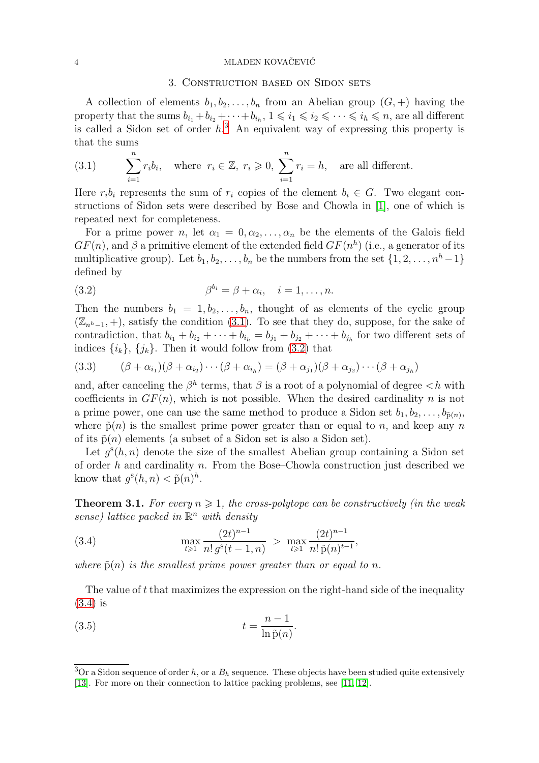#### <span id="page-3-0"></span>4 MLADEN KOVAČEVIĆ

## 3. Construction based on Sidon sets

A collection of elements  $b_1, b_2, \ldots, b_n$  from an Abelian group  $(G, +)$  having the property that the sums  $b_{i_1}+b_{i_2}+\cdots+b_{i_h}$ ,  $1\leqslant i_1\leqslant i_2\leqslant\cdots\leqslant i_h\leqslant n$ , are all different is called a Sidon set of order  $h^3$ . An equivalent way of expressing this property is that the sums

<span id="page-3-1"></span>(3.1) 
$$
\sum_{i=1}^{n} r_i b_i, \text{ where } r_i \in \mathbb{Z}, r_i \geq 0, \sum_{i=1}^{n} r_i = h, \text{ are all different.}
$$

Here  $r_i b_i$  represents the sum of  $r_i$  copies of the element  $b_i \in G$ . Two elegant constructions of Sidon sets were described by Bose and Chowla in [\[1\]](#page-6-13), one of which is repeated next for completeness.

For a prime power n, let  $\alpha_1 = 0, \alpha_2, \ldots, \alpha_n$  be the elements of the Galois field  $GF(n)$ , and  $\beta$  a primitive element of the extended field  $GF(n^h)$  (i.e., a generator of its multiplicative group). Let  $b_1, b_2, \ldots, b_n$  be the numbers from the set  $\{1, 2, \ldots, n^h-1\}$ defined by

<span id="page-3-2"></span>(3.2) 
$$
\beta^{b_i} = \beta + \alpha_i, \quad i = 1, \dots, n.
$$

Then the numbers  $b_1 = 1, b_2, \ldots, b_n$ , thought of as elements of the cyclic group  $(\mathbb{Z}_{n^h-1}, +)$ , satisfy the condition [\(3.1\)](#page-3-1). To see that they do, suppose, for the sake of contradiction, that  $b_{i_1} + b_{i_2} + \cdots + b_{i_h} = b_{j_1} + b_{j_2} + \cdots + b_{j_h}$  for two different sets of indices  $\{i_k\}, \{j_k\}$ . Then it would follow from [\(3.2\)](#page-3-2) that

(3.3) 
$$
(\beta + \alpha_{i_1})(\beta + \alpha_{i_2})\cdots(\beta + \alpha_{i_h}) = (\beta + \alpha_{j_1})(\beta + \alpha_{j_2})\cdots(\beta + \alpha_{j_h})
$$

and, after canceling the  $\beta^h$  terms, that  $\beta$  is a root of a polynomial of degree  $\langle h \rangle$  with coefficients in  $GF(n)$ , which is not possible. When the desired cardinality n is not a prime power, one can use the same method to produce a Sidon set  $b_1, b_2, \ldots, b_{\tilde{p}(n)}$ , where  $\tilde{p}(n)$  is the smallest prime power greater than or equal to n, and keep any n of its  $\tilde{p}(n)$  elements (a subset of a Sidon set is also a Sidon set).

Let  $g^s(h, n)$  denote the size of the smallest Abelian group containing a Sidon set of order  $h$  and cardinality  $n$ . From the Bose–Chowla construction just described we know that  $g^s(h,n) < \tilde{p}(n)^h$ .

<span id="page-3-4"></span>**Theorem 3.1.** For every  $n \geq 1$ , the cross-polytope can be constructively (in the weak sense) lattice packed in  $\mathbb{R}^n$  with density

<span id="page-3-3"></span>(3.4) 
$$
\max_{t \geq 1} \frac{(2t)^{n-1}}{n! g^{s}(t-1, n)} > \max_{t \geq 1} \frac{(2t)^{n-1}}{n! \tilde{p}(n)^{t-1}},
$$

where  $\tilde{p}(n)$  is the smallest prime power greater than or equal to n.

The value of  $t$  that maximizes the expression on the right-hand side of the inequality [\(3.4\)](#page-3-3) is

<span id="page-3-5"></span>(3.5) 
$$
t = \frac{n-1}{\ln \tilde{p}(n)}.
$$

<sup>&</sup>lt;sup>3</sup>Or a Sidon sequence of order h, or a  $B_h$  sequence. These objects have been studied quite extensively [\[13\]](#page-6-14). For more on their connection to lattice packing problems, see [\[11,](#page-6-15) [12\]](#page-6-16).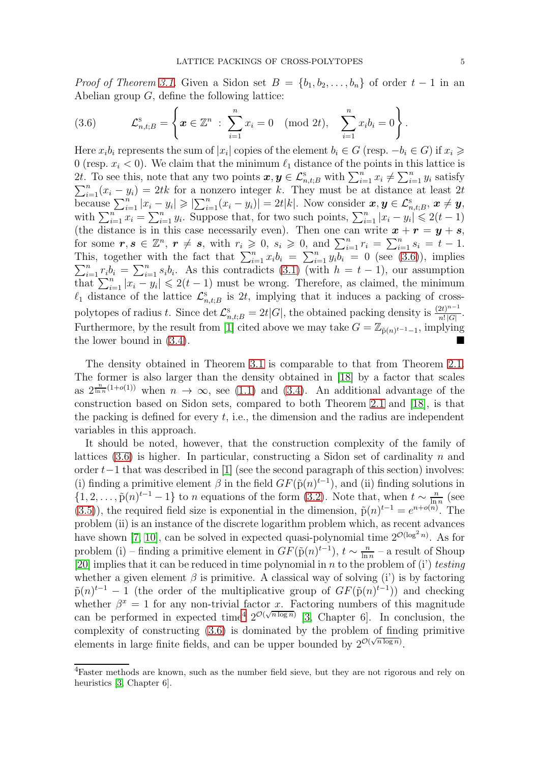*Proof of Theorem [3.1.](#page-3-4)* Given a Sidon set  $B = \{b_1, b_2, \ldots, b_n\}$  of order  $t - 1$  in an Abelian group  $G$ , define the following lattice:

<span id="page-4-0"></span>(3.6) 
$$
\mathcal{L}_{n,t;B}^{\mathrm{s}} = \left\{ \boldsymbol{x} \in \mathbb{Z}^n \; : \; \sum_{i=1}^n x_i = 0 \pmod{2t}, \quad \sum_{i=1}^n x_i b_i = 0 \right\}.
$$

Here  $x_i b_i$  represents the sum of  $|x_i|$  copies of the element  $b_i \in G$  (resp.  $-b_i \in G$ ) if  $x_i \geq$ 0 (resp.  $x_i < 0$ ). We claim that the minimum  $\ell_1$  distance of the points in this lattice is 2t. To see this, note that any two points  $x, y \in \mathcal{L}_{n,t;B}^s$  with  $\sum_{i=1}^n x_i \neq \sum_{i=1}^n y_i$  satisfy  $\sum_{i=1}^{n} (x_i - y_i) = 2tk$  for a nonzero integer k. They must be at distance at least 2t because  $\sum_{i=1}^n |x_i - y_i| \geqslant |\sum_{i=1}^n (x_i - y_i)| = 2t|k|$ . Now consider  $x, y \in \mathcal{L}_{n,t;B}^s$ ,  $x \neq y$ , with  $\sum_{i=1}^{n} x_i = \sum_{i=1}^{n} y_i$ . Suppose that, for two such points,  $\sum_{i=1}^{n} |x_i - y_i| \leq 2(t-1)$ (the distance is in this case necessarily even). Then one can write  $x + r = y + s$ , for some  $r, s \in \mathbb{Z}^n$ ,  $r \neq s$ , with  $r_i \geqslant 0$ ,  $s_i \geqslant 0$ , and  $\sum_{i=1}^n r_i = \sum_{i=1}^n s_i = t - 1$ . This, together with the fact that  $\sum_{i=1}^{n} x_i b_i = \sum_{i=1}^{n}$  $\sum$ is, together with the fact that  $\sum_{i=1}^{n} x_i b_i = \sum_{i=1}^{n} y_i b_i = 0$  (see [\(3.6\)](#page-4-0)), implies  $\sum_{i=1}^{n} r_i b_i = \sum_{i=1}^{n} s_i b_i$ . As this contradicts [\(3.1\)](#page-3-1) (with  $h = t - 1$ ), our assumption  $\frac{1}{\ln x} \sum_{i=1}^n |x_i - y_i| \leq 2(t-1)$  must be wrong. Therefore, as claimed, the minimum  $\ell_1$  distance of the lattice  $\mathcal{L}_{n,t;B}^s$  is 2t, implying that it induces a packing of crosspolytopes of radius t. Since det  $\mathcal{L}_{n,t;B}^{\rm s} = 2t|G|$ , the obtained packing density is  $\frac{(2t)^{n-1}}{n!|G|}$  $rac{2t}{n!|G|}$ . Furthermore, by the result from [\[1\]](#page-6-13) cited above we may take  $G = \mathbb{Z}_{\tilde{p}(n)^{t-1}-1}$ , implying the lower bound in [\(3.4\)](#page-3-3).

The density obtained in Theorem [3.1](#page-3-4) is comparable to that from Theorem [2.1.](#page-2-4) The former is also larger than the density obtained in [\[18\]](#page-6-3) by a factor that scales as  $2^{\frac{n}{\ln n}(1+o(1))}$  when  $n \to \infty$ , see [\(1.1\)](#page-1-0) and [\(3.4\)](#page-3-3). An additional advantage of the construction based on Sidon sets, compared to both Theorem [2.1](#page-2-4) and [\[18\]](#page-6-3), is that the packing is defined for every  $t$ , i.e., the dimension and the radius are independent variables in this approach.

It should be noted, however, that the construction complexity of the family of lattices  $(3.6)$  is higher. In particular, constructing a Sidon set of cardinality n and order t−1 that was described in [\[1\]](#page-6-13) (see the second paragraph of this section) involves: (i) finding a primitive element  $\beta$  in the field  $GF(\tilde{p}(n)^{t-1})$ , and (ii) finding solutions in  $\{1, 2, \ldots, \tilde{p}(n)^{t-1} - 1\}$  to *n* equations of the form [\(3.2\)](#page-3-2). Note that, when  $t \sim \frac{n}{\ln n}$  $\frac{n}{\ln n}$  (see [\(3.5\)](#page-3-5)), the required field size is exponential in the dimension,  $\tilde{p}(n)^{t-1} = e^{n+o(n)}$ . The problem (ii) is an instance of the discrete logarithm problem which, as recent advances have shown [\[7,](#page-6-17) [10\]](#page-6-18), can be solved in expected quasi-polynomial time  $2^{\mathcal{O}(\log^2 n)}$ . As for problem (i) – finding a primitive element in  $GF(\tilde{p}(n)^{t-1}), t \sim \frac{n}{\ln n}$  $\frac{n}{\ln n}$  – a result of Shoup [\[20\]](#page-6-19) implies that it can be reduced in time polynomial in n to the problem of (i') testing whether a given element  $\beta$  is primitive. A classical way of solving (i') is by factoring  $\tilde{p}(n)^{t-1} - 1$  (the order of the multiplicative group of  $GF(\tilde{p}(n)^{t-1})$ ) and checking whether  $\beta^x = 1$  for any non-trivial factor x. Factoring numbers of this magnitude can be performed in expected time<sup>4</sup>  $2^{\mathcal{O}(\sqrt{n \log n})}$  [\[3,](#page-6-11) Chapter 6]. In conclusion, the complexity of constructing [\(3.6\)](#page-4-0) is dominated by the problem of finding primitive elements in large finite fields, and can be upper bounded by  $2^{\mathcal{O}(\sqrt{n \log n})}$ .

<sup>4</sup>Faster methods are known, such as the number field sieve, but they are not rigorous and rely on heuristics [\[3,](#page-6-11) Chapter 6].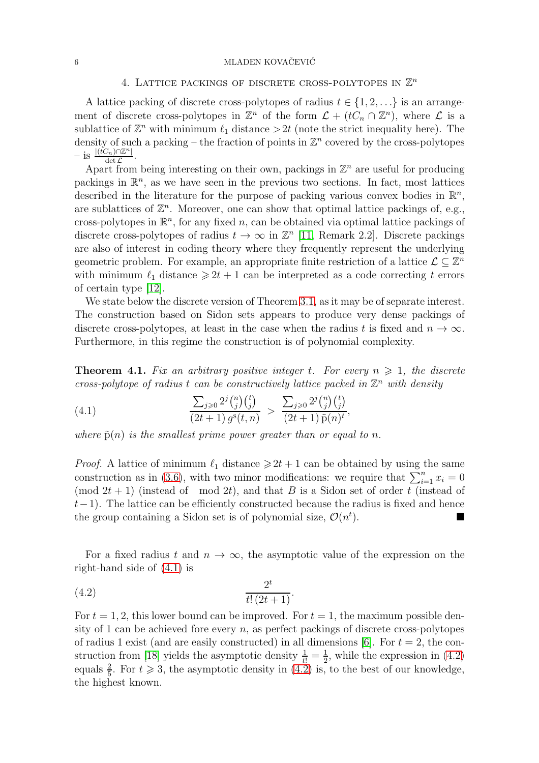## <span id="page-5-0"></span>6  $MLADER$  KOVAČEVIĆ

# 4. LATTICE PACKINGS OF DISCRETE CROSS-POLYTOPES IN  $\mathbb{Z}^n$

A lattice packing of discrete cross-polytopes of radius  $t \in \{1, 2, \ldots\}$  is an arrangement of discrete cross-polytopes in  $\mathbb{Z}^n$  of the form  $\mathcal{L} + (tC_n \cap \mathbb{Z}^n)$ , where  $\mathcal L$  is a sublattice of  $\mathbb{Z}^n$  with minimum  $\ell_1$  distance  $>2t$  (note the strict inequality here). The density of such a packing – the fraction of points in  $\mathbb{Z}^n$  covered by the cross-polytopes  $-$  is  $\frac{|(tC_n) \cap \mathbb{Z}^n|}{\det C}$  $\det_{c} \mathcal{L}$ .

Apart from being interesting on their own, packings in  $\mathbb{Z}^n$  are useful for producing packings in  $\mathbb{R}^n$ , as we have seen in the previous two sections. In fact, most lattices described in the literature for the purpose of packing various convex bodies in  $\mathbb{R}^n$ , are sublattices of  $\mathbb{Z}^n$ . Moreover, one can show that optimal lattice packings of, e.g., cross-polytopes in  $\mathbb{R}^n$ , for any fixed n, can be obtained via optimal lattice packings of discrete cross-polytopes of radius  $t \to \infty$  in  $\mathbb{Z}^n$  [\[11,](#page-6-15) Remark 2.2]. Discrete packings are also of interest in coding theory where they frequently represent the underlying geometric problem. For example, an appropriate finite restriction of a lattice  $\mathcal{L} \subseteq \mathbb{Z}^n$ with minimum  $\ell_1$  distance  $\geq 2t + 1$  can be interpreted as a code correcting t errors of certain type [\[12\]](#page-6-16).

We state below the discrete version of Theorem [3.1,](#page-3-4) as it may be of separate interest. The construction based on Sidon sets appears to produce very dense packings of discrete cross-polytopes, at least in the case when the radius t is fixed and  $n \to \infty$ . Furthermore, in this regime the construction is of polynomial complexity.

**Theorem 4.1.** Fix an arbitrary positive integer t. For every  $n \geq 1$ , the discrete cross-polytope of radius t can be constructively lattice packed in  $\mathbb{Z}^n$  with density

<span id="page-5-1"></span>(4.1) 
$$
\frac{\sum_{j\geqslant 0} 2^j {n \choose j} {t \choose j}}{(2t+1) g^s(t,n)} > \frac{\sum_{j\geqslant 0} 2^j {n \choose j} {t \choose j}}{(2t+1) \tilde{p}(n)^t},
$$

where  $\tilde{p}(n)$  is the smallest prime power greater than or equal to n.

*Proof.* A lattice of minimum  $\ell_1$  distance  $\geq 2t + 1$  can be obtained by using the same construction as in [\(3.6\)](#page-4-0), with two minor modifications: we require that  $\sum_{i=1}^{n} x_i = 0$ (mod  $2t + 1$ ) (instead of mod  $2t$ ), and that B is a Sidon set of order t (instead of  $t-1$ ). The lattice can be efficiently constructed because the radius is fixed and hence the group containing a Sidon set is of polynomial size,  $\mathcal{O}(n^t)$  $\Box$ 

For a fixed radius t and  $n \to \infty$ , the asymptotic value of the expression on the right-hand side of [\(4.1\)](#page-5-1) is

<span id="page-5-2"></span>(4.2) 
$$
\frac{2^t}{t!(2t+1)}.
$$

For  $t = 1, 2$ , this lower bound can be improved. For  $t = 1$ , the maximum possible density of 1 can be achieved fore every  $n$ , as perfect packings of discrete cross-polytopes of radius 1 exist (and are easily constructed) in all dimensions [\[6\]](#page-6-12). For  $t = 2$ , the con-struction from [\[18\]](#page-6-3) yields the asymptotic density  $\frac{1}{t!} = \frac{1}{2}$  $\frac{1}{2}$ , while the expression in  $(4.2)$ equals  $\frac{2}{5}$ . For  $t \ge 3$ , the asymptotic density in [\(4.2\)](#page-5-2) is, to the best of our knowledge, the highest known.